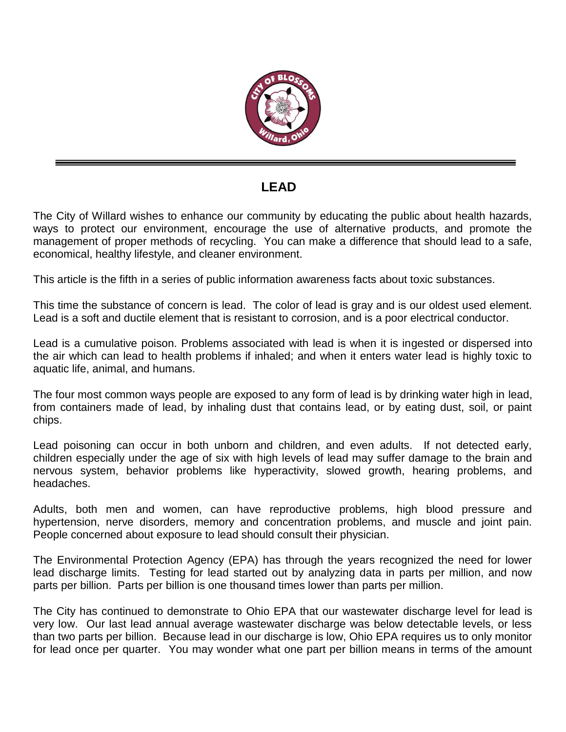

## **LEAD**

The City of Willard wishes to enhance our community by educating the public about health hazards, ways to protect our environment, encourage the use of alternative products, and promote the management of proper methods of recycling. You can make a difference that should lead to a safe, economical, healthy lifestyle, and cleaner environment.

This article is the fifth in a series of public information awareness facts about toxic substances.

This time the substance of concern is lead. The color of lead is gray and is our oldest used element. Lead is a soft and ductile element that is resistant to corrosion, and is a poor electrical conductor.

Lead is a cumulative poison. Problems associated with lead is when it is ingested or dispersed into the air which can lead to health problems if inhaled; and when it enters water lead is highly toxic to aquatic life, animal, and humans.

The four most common ways people are exposed to any form of lead is by drinking water high in lead, from containers made of lead, by inhaling dust that contains lead, or by eating dust, soil, or paint chips.

Lead poisoning can occur in both unborn and children, and even adults. If not detected early, children especially under the age of six with high levels of lead may suffer damage to the brain and nervous system, behavior problems like hyperactivity, slowed growth, hearing problems, and headaches.

Adults, both men and women, can have reproductive problems, high blood pressure and hypertension, nerve disorders, memory and concentration problems, and muscle and joint pain. People concerned about exposure to lead should consult their physician.

The Environmental Protection Agency (EPA) has through the years recognized the need for lower lead discharge limits. Testing for lead started out by analyzing data in parts per million, and now parts per billion. Parts per billion is one thousand times lower than parts per million.

The City has continued to demonstrate to Ohio EPA that our wastewater discharge level for lead is very low. Our last lead annual average wastewater discharge was below detectable levels, or less than two parts per billion. Because lead in our discharge is low, Ohio EPA requires us to only monitor for lead once per quarter. You may wonder what one part per billion means in terms of the amount